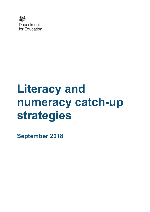

# **Literacy and numeracy catch-up strategies**

**September 2018**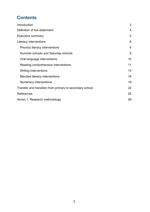# **Contents**

| Introduction                                             | 3  |
|----------------------------------------------------------|----|
| Definition of low attainment                             | 4  |
| Executive summary                                        | 5  |
| Literacy interventions                                   | 6  |
| Phonics literacy interventions                           | 6  |
| Summer schools and Saturday schools                      | 8  |
| Oral language interventions                              | 10 |
| Reading comprehension interventions                      | 11 |
| Writing interventions                                    | 15 |
| <b>Blended literacy interventions</b>                    | 16 |
| Numeracy interventions                                   | 19 |
| Transfer and transition from primary to secondary school | 22 |
| References                                               | 25 |
| Annex 1: Research methodology                            | 29 |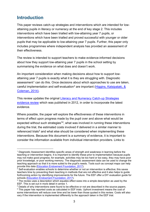# <span id="page-2-0"></span>**Introduction**

This paper reviews catch-up strategies and interventions which are intended for lowattaining pupils in literacy or numeracy at the end of key stage 2. This includes interventions which have been trialled with low-attaining year 7 pupils, or interventions which have been trialled and proved successful with younger or older pupils that may be applicable to low-attaining year 7 pupils. Further, this paper only includes programmes where independent analysis has provided an assessment of their effectiveness.

The review is intended to support teachers to make evidence-informed decisions about how they support low-attaining year 7 pupils in the school setting by summarising the evidence on what does and doesn't work.

An important consideration when making decisions about how to support lowattaining year 7 pupils is exactly what it is they are struggling with. Diagnostic assessment<sup>[1](#page-2-1)</sup> can do this. Once decisions about which approaches to use are taken, careful implementation and self-evaluation<sup>[2](#page-2-2)</sup> are important (Higgins, Katsipataki,  $\&$ [Coleman,](https://educationendowmentfoundation.org.uk/public/files/Publications/EEF_Interim_Evidence_Brief_ReadingaAtTheTransition.pdf) 2014).

This review updates the original [Literacy and Numeracy Catch-up Strategies](https://www.gov.uk/government/publications/literacy-and-numeracy-catch-up-strategies) [evidence review](https://www.gov.uk/government/publications/literacy-and-numeracy-catch-up-strategies) which was published in 2012, in order to incorporate the latest evidence.

Where possible, the paper will explore the effectiveness of these interventions in terms of effect upon progress made by the pupil over and above what would be expected without such strategies<sup>[3](#page-2-3)[4](#page-2-4)</sup>, what was involved in running these interventions during the trial, the estimated costs involved if delivered in a similar manner to referenced trials<sup>[5](#page-2-5)</sup> and what else should be considered when implementing these interventions. Because this document is a summary of evidence, it is important to consider the information available from individual intervention providers. Links to

<span id="page-2-1"></span> <sup>1</sup> Diagnostic Assessment identifies specific areas of strength and weakness in learning before the teaching or intervention begins. It is important to identify these prior to implementation because pupils may not make good progress; for example, activities may be too hard or too easy, they may have poor prior knowledge, or poor working memory. The diagnostic assessment data can be used to change the teaching approach so that it is more suited to the pupil's needs. Tools such as concept maps can help provide this data [\(Education Endowment Foundation, 2017\)](https://educationendowmentfoundation.org.uk/resources/assessing-and-monitoring-pupil-progress/developing-whole-school-assessment/diagnostic-assessment/).

<span id="page-2-2"></span> $2$  Self-evaluation enables schools to determine whether or not an intervention is effective; this saves teachers time by preventing them teaching in methods that are not effective and it also helps to guide forthcoming action by identifying improvements for the future. The EEF offer a DIY evaluation guide for schools [\(Education Endowment Foundation, 2017\)](https://educationendowmentfoundation.org.uk/resources/diy-guide/getting-started/).

<span id="page-2-3"></span> $3$  The review uses a description which equates effect sizes into a simple description as used by the EEF. This is set out in more detail in annex 1.

<span id="page-2-4"></span><sup>&</sup>lt;sup>4</sup> Details of why interventions were found to be effective or not are described in the source papers.

<span id="page-2-5"></span><sup>5</sup> This paper has reported costs as calculated in EEF trials. Upfront investment means the cost of some interventions will reduce over time and be lower than those quoted in this review. Costs will also vary if the intervention is implemented differently to the approach taken in the EEF trial.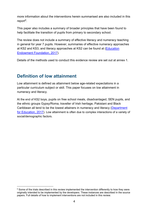more information about the interventions herein summarised are also included in this report<sup>[6](#page-3-1)</sup>.

This paper also includes a summary of broader principles that have been found to help facilitate the transition of pupils from primary to secondary school.

The review does not include a summary of effective literacy and numeracy teaching in general for year 7 pupils. However, summaries of effective numeracy approaches at KS2 and KS3, and literacy approaches at KS2 can be found at [\(Education](https://educationendowmentfoundation.org.uk/public/files/Publications/Campaigns/Literacy/KS2_Literacy_Guidance_2017.pdf)  [Endowment Foundation, 2017\)](https://educationendowmentfoundation.org.uk/public/files/Publications/Campaigns/Literacy/KS2_Literacy_Guidance_2017.pdf).

Details of the methods used to conduct this evidence review are set out at annex 1.

# <span id="page-3-0"></span>**Definition of low attainment**

Low attainment is defined as attainment below age-related expectations in a particular curriculum subject or skill. This paper focuses on low attainment in numeracy and literacy.

At the end of KS2 boys, pupils on free school meals, disadvantaged, SEN pupils, and the ethnic groups Gypsy/Roma, traveller of Irish heritage, Pakistani and Black Caribbean all tend to be the lowest attainers in numeracy and literacy (Department [for Education, 2017\)](https://www.gov.uk/government/statistics/national-curriculum-assessments-key-stage-2-2016-revised). Low attainment is often due to complex interactions of a variety of social/demographic factors.

<span id="page-3-1"></span> $6$  Some of the trials described in this review implemented the intervention differently to how they were originally intended to be implemented by the developers. These instances are described in the source papers. Full details of how to implement interventions are not included in this review.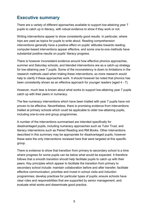# <span id="page-4-0"></span>**Executive summary**

There are a variety of different approaches available to support low-attaining year 7 pupils to catch up in literacy, with robust evidence to show if they work or not.

Writing interventions appear to show consistently good results. In particular, where trips are used as topics for pupils to write about. Reading comprehension interventions generally have a positive effect on pupils' attitudes towards reading; computer-based interventions appear effective, and some one-to-one methods have substantial positive results on pupils' literacy progress.

There is however inconsistent evidence around how effective phonics approaches, summer and Saturday schools, and blended interventions are as a catch-up strategy for low-attaining year 7 pupils. Some of the inconsistency is down to limitations in the research methods used when trialing these interventions, so more research would help to clarify if these approaches work. It should however be noted that phonics has been consistently shown as an effective approach for younger readers (aged 4 - 7).

However, much less is known about what works to support low-attaining year 7 pupils catch up with their peers in numeracy.

The few numeracy interventions which have been trialled with year 7 pupils have not proven to be effective. Nevertheless, there is promising evidence from interventions trialled at primary schools which could be applicable to older low-attaining pupils, including one-to-one and group programmes.

A number of the interventions summarised are intended specifically for disadvantaged pupils, including numeracy approaches such as Tutor Trust, and literacy interventions such as Paired Reading and RM Books. Other interventions described in this summary may be appropriate for disadvantaged pupils, however these were the only interventions reviewed here that were targeted at this specific group.

There is evidence to show that transition from primary to secondary school is a time where progress for some pupils can be below what would be expected. It therefore follows that a smooth transition should help facilitate pupils to catch up with their peers. Key principles which appear to facilitate the transition from primary to secondary school include: maintain collaboration before and after transfer; facilitate effective communication; prioritise and invest in school visits and induction programmes; develop practices for particular types of pupils; ensure schools have clear roles and responsibilities that are supported by senior management, and; evaluate what works and disseminate good practice.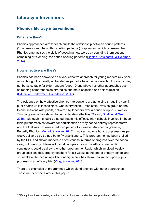# <span id="page-5-0"></span>**Literacy interventions**

## <span id="page-5-1"></span>**Phonics literacy interventions**

#### **What are they?**

Phonics approaches aim to teach pupils the relationship between sound patterns ('phonemes') and the written spelling patterns ('graphemes') which represent them. Phonics emphasises the skills of decoding new words by sounding them out and combining or 'blending' the sound-spelling patterns (Higgins, [Katsipataki, & Coleman,](https://educationendowmentfoundation.org.uk/public/files/Publications/EEF_Interim_Evidence_Brief_ReadingaAtTheTransition.pdf) [2014\)](https://educationendowmentfoundation.org.uk/public/files/Publications/EEF_Interim_Evidence_Brief_ReadingaAtTheTransition.pdf).

#### **How effective are they?**

Phonics has been shown to be a very effective approach for young readers (4-7 year olds), though it is usually embedded as part of a balanced approach. However, it may not be as suitable for older readers (aged 10 and above) as other approaches such as reading comprehension strategies and meta-cognition and self-regulation [\(Education Endowment Foundation, 2017\)](https://educationendowmentfoundation.org.uk/resources/teaching-learning-toolkit/phonics/).

The evidence on how effective phonics interventions are at helping struggling year 7 pupils catch up is inconsistent. One intervention, Fresh start, involves group or oneto-one sessions with pupils, delivered by teachers over a period of up to 33 weeks. This programme has shown to be moderately effective [\(Gorard, Siddiqui, & See,](https://educationendowmentfoundation.org.uk/public/files/Support/Campaigns/Evaluation_Reports/EEF_Project_Report_FreshStart.pdf)  $2015a$ ) although it should be noted that in this efficacy trial<sup>[7](#page-5-2)</sup> schools involved in these trials put themselves forward for participation so may not be entirely representative and the trial was run over a reduced period of 22 weeks. Another programme, Butterfly Phonics [\(Merrell, & Kasim,](https://educationendowmentfoundation.org.uk/public/files/Support/Campaigns/Evaluation_Reports/EEF_Project_Report_ButterflyPhonics.pdf) 2015), involves two one hour group sessions per week, delivered by trained butterfly practitioners. This programme has been trialled by the EEF and shown moderate effectiveness in terms of progress over the school year, but due to problems with small sample sizes in this efficacy trial, no firm conclusions could be drawn. Another programme, Rapid, which involved weekly group sessions delivered by teachers for six weeks at the end of primary school and six weeks at the beginning of secondary school has shown no impact upon pupils' progress in an efficacy trial [\(King, & Kasim, 2015\)](https://educationendowmentfoundation.org.uk/public/files/Support/Campaigns/Evaluation_Reports/EEF_Project_Report_RapidPhonics.pdf).

There are examples of programmes which blend phonics with other approaches. These are described later in this paper.

<span id="page-5-2"></span> $7$  Efficacy trials involve testing whether interventions work under the best possible conditions.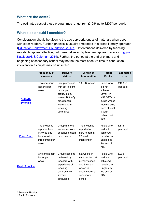#### **What are the costs?**

The estimated cost of these programmes range from  $£108<sup>8</sup>$  $£108<sup>8</sup>$  $£108<sup>8</sup>$  up to  $£205<sup>9</sup>$  $£205<sup>9</sup>$  $£205<sup>9</sup>$  per pupil.

#### **What else should I consider?**

Consideration should be given to the age appropriateness of materials when used with older readers. Further, phonics is usually embedded in a broad literacy approach [\(Education Endowment Foundation, 2017a](https://educationendowmentfoundation.org.uk/resources/teaching-learning-toolkit/phonics/)). Interventions delivered by teaching assistants appear effective, but those delivered by teachers appear more so [\(Higgins,](https://educationendowmentfoundation.org.uk/public/files/Publications/EEF_Interim_Evidence_Brief_ReadingaAtTheTransition.pdf)  [Katsipataki, & Coleman, 2014\)](https://educationendowmentfoundation.org.uk/public/files/Publications/EEF_Interim_Evidence_Brief_ReadingaAtTheTransition.pdf). Further, the period at the end of primary and beginning of secondary school may not be the most effective time to conduct an intervention as pupils may be unsettled.

|                                    | <b>Frequency of</b>                                                                      | <b>Delivery</b>                                                                                                           | Length of                                                                                                              | <b>Target</b>                                                                                                            | <b>Estimated</b>     |
|------------------------------------|------------------------------------------------------------------------------------------|---------------------------------------------------------------------------------------------------------------------------|------------------------------------------------------------------------------------------------------------------------|--------------------------------------------------------------------------------------------------------------------------|----------------------|
|                                    | sessions                                                                                 | <b>Method</b>                                                                                                             | intervention                                                                                                           | <b>Pupils</b>                                                                                                            | cost                 |
|                                    | Two one-hour<br>lessons per                                                              | Group sessions<br>with six to eight                                                                                       | $10 - 12$ weeks                                                                                                        | Pupils who<br>did not                                                                                                    | £108.50<br>per pupil |
| <b>Butterfly</b><br><b>Phonics</b> | week                                                                                     | pupils per<br>group, led by<br>trained Butterfly<br>practitioners<br>working with<br>teaching<br>assistants               |                                                                                                                        | achieve<br>Level 4 in<br>KS2 SATs or<br>pupils whose<br>reading skills<br>were at least<br>a year<br>behind their<br>age |                      |
| <b>Fresh Start</b>                 | The evidence<br>reported here<br>involved one<br>hour session<br>three times per<br>week | Group and one-<br>to-one sessions<br>depending upon<br>pupil needs                                                        | The evidence<br>reported on<br>here is from a<br>22 week<br>intervention                                               | Pupils who<br>had not<br>achieved<br>Level 4b in<br>English at<br>the end of<br>KS <sub>2</sub>                          | £116<br>per pupil    |
| <b>Rapid Phonics</b>               | One and a half<br>hours per<br>week                                                      | Group sessions<br>delivered by<br>teachers with<br>experience of<br>teaching<br>children with<br>literacy<br>difficulties | Six weeks in<br>summer term at<br>primary school,<br>and then six<br>weeks in<br>autumn term at<br>secondary<br>school | Pupils who<br>had not<br>achieved<br>Level 4b in<br>English by<br>the end of<br>KS <sub>2</sub>                          | £205<br>per pupil    |

<span id="page-6-0"></span>8 Butterfly Phonics

<span id="page-6-1"></span><sup>9</sup> Rapid Phonics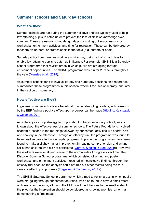## <span id="page-7-0"></span>**Summer schools and Saturday schools**

#### **What are they?**

Summer schools are run during the summer holidays and are typically used to help low-attaining pupils to catch up or to prevent the loss of skills or knowledge over summer. These are usually school-length days consisting of literacy lessons or workshops, enrichment activities, and time for recreation. These can be delivered by teachers, volunteers, or professionals in the topic (e.g. authors or poets).

Saturday school programmes work in a similar way, using out of school days to enable low-attaining pupils to catch up in literacy. For example, SHINE is a Saturday school programme that revisits areas in which pupils are struggling through enrichment opportunities. The SHINE programme was run for 25 weeks throughout the year [\(Menzies et al., 2015\)](https://educationendowmentfoundation.org.uk/public/files/Publications/Campaigns/Evaluation_Reports/EEF_Project_Report_ShineInSecondaries.pdf).

As summer schools tend to involve literacy and numeracy sessions, this report has summarised these programmes in this section, where it focuses on literacy, and later in the section on numeracy.

#### **How effective are they?**

In general, summer schools are beneficial to older struggling readers, with research by the EEF finding a positive effect upon progress can be made (Higgins, Katsipataki [& Coleman, 2014\)](https://educationendowmentfoundation.org.uk/public/files/Publications/EEF_Interim_Evidence_Brief_ReadingaAtTheTransition.pdf).

As a literacy catch-up strategy for pupils about to begin secondary school, less is known about the effectiveness of summer schools. The Future Foundations involved academic lessons in the mornings followed by enrichment activities like sports, arts and cookery in the afternoon. Through an efficacy trial, the programme was found to have positive, low effect upon pupils' progress. Pupils in the programmes have been found to make a slightly higher improvement in reading comprehension and writing skills than children who did not participate [\(Gorard, Siddiqui & See, 2014a](https://educationendowmentfoundation.org.uk/public/files/Support/Campaigns/Evaluation_Reports/EEF_Project_Report_FutureFoundationsSummerSchool.pdf)). However, these effects were small and similar to the normal rate of progress over time. The Discover Summer School programme, which consisted of writing and poetry workshops, and enrichment activities , resulted in inconclusive findings through the efficacy trial because the analysis could not rule out other factors being the true cause of effect upon progress [\(Torgerson & Torgerson, 2014a](https://educationendowmentfoundation.org.uk/public/files/Support/Campaigns/Evaluation_Reports/EEF_Project_Report_DiscoverSummerSchool.pdf)).

The SHINE Saturday School programme, which aimed to revisit areas in which pupils were struggling through enrichment activities, was also found to have a small effect on literacy competency, although the EEF concluded that due to the small scale of the pilot trial the intervention should be considered as showing promise rather than demonstrating a firm impact.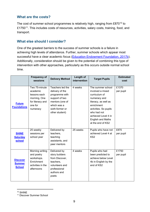#### **What are the costs?**

The cost of summer school programmes is relatively high, ranging from  $£870^{10}$  $£870^{10}$  $£870^{10}$  to £1750<sup>11</sup>. This includes costs of resources, activities, salary costs, training, food, and transport.

#### **What else should I consider?**

One of the greatest barriers to the success of summer schools is a failure in achieving high levels of attendance. Further, summer schools which appear most successful have a clear academic focus [\(Education Endowment Foundation, 2017b\)](https://educationendowmentfoundation.org.uk/resources/teaching-learning-toolkit/summer-schools/). Additionally, consideration should be given to the potential of combining this type of intervention with other approaches, particularly as this occurs outside normal school time.

|                                                   | <b>Frequency of</b><br>sessions                                                                      | <b>Delivery Method</b>                                                                                                                         | Length of<br>intervention | <b>Target Pupils</b>                                                                                                                                                                                                         | <b>Estimated</b><br>cost |
|---------------------------------------------------|------------------------------------------------------------------------------------------------------|------------------------------------------------------------------------------------------------------------------------------------------------|---------------------------|------------------------------------------------------------------------------------------------------------------------------------------------------------------------------------------------------------------------------|--------------------------|
| <b>Future</b><br><b>Foundations</b>               | Two 75-minute<br>academic<br>lessons each<br>morning, One<br>for literacy and<br>one for<br>numeracy | Teachers led the<br>delivery of the<br>programme with<br>support of two<br>mentors (one of<br>which was a<br>sixth-former or<br>other student) | 4 weeks                   | The summer school<br>involved a mixed<br>curriculum of<br>numeracy and<br>literacy, as well as<br>enrichment<br>activities. So pupils<br>who had not<br>achieved Level 4 in<br><b>English and Maths</b><br>at the end of KS2 | £1370<br>per pupil       |
| <b>SHINE</b><br><b>Saturday</b><br>school         | 25 weekly<br>sessions per<br>school year                                                             | Delivered by<br>teachers,<br>teaching<br>assistants, and<br>peer mentors                                                                       | 25 weeks                  | Pupils who have not<br>achieved Level 4 at<br>KS <sub>2</sub>                                                                                                                                                                | £870<br>per pupil        |
| <b>Discover</b><br><b>Summer</b><br><b>School</b> | Morning writing<br>and poetry<br>workshops.<br>Enrichment<br>activities in the<br>afternoons         | Delivered by<br>story builders<br>from Discover,<br>teachers,<br>volunteers and<br>professional<br>authors and<br>poets                        | 4 weeks                   | Pupils who had<br>been predicted to<br>achieve below Level<br>4b in English by the<br>end of KS2                                                                                                                             | £1750<br>per pupil       |

<span id="page-8-0"></span> <sup>10</sup> SHINE

<span id="page-8-1"></span><sup>11</sup> Discover Summer School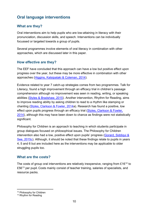## <span id="page-9-0"></span>**Oral language interventions**

#### **What are they?**

Oral interventions aim to help pupils who are low-attaining in literacy with their pronunciation, discussion skills, and speech. Interventions can be individually focussed or targeted towards a group of pupils.

Several programmes involve elements of oral literacy in combination with other approaches, which are discussed later in this paper.

#### **How effective are they?**

The EEF have concluded that this approach can have a low but positive effect upon progress over the year, but these may be more effective in combination with other approaches [\(Higgins, Katsipataki & Coleman, 2014\)](https://educationendowmentfoundation.org.uk/public/files/Publications/EEF_Interim_Evidence_Brief_ReadingaAtTheTransition.pdf).

Evidence related to year 7 catch-up strategies comes from two programmes. Talk for Literacy, found a high improvement through an efficacy trial in children's passage comprehension although no improvement was seen in reading, writing, or speaking abilities [\(Styles & Bradshaw, 2015\)](https://educationendowmentfoundation.org.uk/public/files/Publications/Campaigns/Evaluation_Reports/EEF_Project_Report_TalkForLiteracy.pdf). Another intervention, Rhythm for Reading, aims to improve reading ability by asking children to read to a rhythm like stamping or chanting [\(Styles, Clarkson & Fowler, 2014a](https://educationendowmentfoundation.org.uk/public/files/Support/Campaigns/Evaluation_Reports/EEF_Project_Report_RhythmForReading.pdf)). Research has found a positive, low effect upon pupils progress through an efficacy trial [\(Styles, Clarkson & Fowler,](https://educationendowmentfoundation.org.uk/public/files/Support/Campaigns/Evaluation_Reports/EEF_Project_Report_RhythmForReading.pdf)  [2014\)](https://educationendowmentfoundation.org.uk/public/files/Support/Campaigns/Evaluation_Reports/EEF_Project_Report_RhythmForReading.pdf), although this may have been down to chance as findings were not statistically significant.

Philosophy for Children is an approach to teaching in which students participate in group dialogues focused on philosophical issues. The Philosophy for Children intervention also had a low, positive effect upon pupils' progress (Gorard, Siddiqui & [See, 2015c\)](https://educationendowmentfoundation.org.uk/public/files/Support/Campaigns/Evaluation_Reports/EEF_Project_Report_PhilosophyForChildren.pdf). Although, it should be noted that these findings relate to pupils in years 4, 5 and 6 but are included here as the interventions may be applicable to older struggling pupils too.

#### **What are the costs?**

The costs of group oral interventions are relatively inexpensive, ranging from  $£16^{12}$  $£16^{12}$  $£16^{12}$  to  $£56<sup>13</sup>$  $£56<sup>13</sup>$  $£56<sup>13</sup>$  per pupil. Costs mainly consist of teacher training, salaries of specialists, and resource packs.

<span id="page-9-1"></span><sup>&</sup>lt;sup>12</sup> Philosophy for Children

<span id="page-9-2"></span><sup>&</sup>lt;sup>13</sup> Rhythm for Reading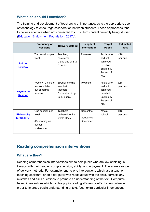#### **What else should I consider?**

The training and development of teachers is of importance, as is the appropriate use of technology to encourage collaboration between students. These approaches tend to be less effective when not connected to curriculum content currently being studied [\(Education Endowment Foundation, 2017c\)](https://educationendowmentfoundation.org.uk/resources/teaching-learning-toolkit/oral-language-interventions/).

|                                     | <b>Frequency of</b><br>sessions                                   | <b>Delivery Method</b>                                                         | Length of<br>intervention             | <b>Target</b><br><b>Pupils</b>                                                                 | <b>Estimated</b><br>cost |
|-------------------------------------|-------------------------------------------------------------------|--------------------------------------------------------------------------------|---------------------------------------|------------------------------------------------------------------------------------------------|--------------------------|
| <b>Talk for</b><br><b>Literacy</b>  | Two sessions per<br>week                                          | Teaching<br>assistants<br>Class size of 3 to<br>8 pupils                       | 23 weeks                              | Pupils who<br>had not<br>achieved<br>Level 4 in<br>English at<br>the end of<br>KS <sub>2</sub> | £29<br>per pupil         |
| <b>Rhythm for</b><br><b>Reading</b> | Weekly 10-minute<br>sessions taken<br>out of normal<br>lessons    | Specialists who<br>later train<br>teachers<br>Class size of up<br>to 10 pupils | 10 weeks                              | Pupils who<br>had not<br>achieved<br>Level 4 in<br>English by<br>the end of<br>KS <sub>2</sub> | £56<br>per pupil         |
| Philosophy<br>for Children          | One session per<br>week<br>(Depending on<br>school<br>preference) | <b>Teachers</b><br>delivered to the<br>whole class                             | 12 months<br>(January to<br>December) | Whole<br>school                                                                                | £16<br>per pupil         |

## <span id="page-10-0"></span>**Reading comprehension interventions**

#### **What are they?**

Reading comprehension interventions aim to help pupils who are low-attaining in literacy with their reading comprehension, ability, and enjoyment. There are a range of delivery methods. For example, one-to-one interventions which use a teacher, teaching assistant, or an older pupil who reads aloud with the child, corrects any mistakes and asks questions to promote an understanding of the text. Computerbased interventions which involve pupils reading eBooks or eTextbooks online in order to improve pupils understanding of text. Also, extra-curricular interventions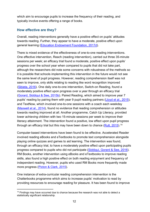which aim to encourage pupils to increase the frequency of their reading, and typically involve events offering a range of books.

#### **How effective are they?**

Overall, reading interventions generally have a positive effect on pupils' attitudes towards reading. Further, they appear to have a moderate, positive effect upon general learning [\(Education Endowment Foundation, 2017d\)](https://educationendowmentfoundation.org.uk/resources/teaching-learning-toolkit/reading-comprehension-strategies/).

There is mixed evidence of the effectiveness of one-to-one reading interventions. One effective intervention, Reach (reading intervention), carried out three 35-minute sessions per week; an efficacy trial found a moderate, positive effect upon pupils' progress over the school year when compared to pupils that did not take part, although the researchers did note some concerns with robustness of the methods so it is possible that schools implementing this intervention in the future would not see the same level of pupil progress. However, reading comprehension itself was not seen to improve, only skills relating to reading like word recognition improved [\(Sibieta, 2016\)](https://educationendowmentfoundation.org.uk/public/files/Support/Campaigns/Evaluation_Reports/EEF_Project_Report_REACH). One daily one-to-one intervention, Switch-on Reading, found a moderately positive effect upon progress over a year through an efficacy trial [\(Gorard, Siddiqui & See, 2015b\)](http://dro.dur.ac.uk/14982/1/14982.pdf). Paired Reading, which aimed to improve year 7 pupils' reading by pairing them with year 9 pupil reading partners [\(Lloyd et al., 2015\)](https://educationendowmentfoundation.org.uk/public/files/Support/Campaigns/Evaluation_Reports/EEF_Project_Report_PairedReading.pdf), and TextNow, which involved one-to-one sessions with a coach each weekday [\(Maxwell et al., 2014\)](https://educationendowmentfoundation.org.uk/public/files/Support/Campaigns/Evaluation_Reports/EEF_Project_Report_TextNow.pdf), found no evidence that reading comprehension or attitudes towards reading improved at all. Another programme, Catch Up Literacy, provided lower achieving children with two 15-minute sessions per week to improve their literacy attainment. The intervention found a positive, low effect upon pupil progress through an efficacy trial but this may have been down to chance (<u>Rutt, 2015</u>).<sup>[14](#page-11-0)</sup>

Computer-based interventions have been found to be effective. Accelerated Reader involved reading eBooks and eTextbooks to promote text comprehension alongside playing online quizzes and games to aid learning. The intervention was found, through an efficacy trial, to have a moderately positive effect upon participating pupils progress compared to pupils who did not participate [\(Siddiqui, Gorard & See, 2016\)](http://dro.dur.ac.uk/16393/1/16393.pdf). RM Books, another intervention using eBooks and eTextbooks to improve reading skills, also found a high positive effect on both reading enjoyment and frequency of independent reading. However, pupils who used RM Books more frequently made more progress [\(Picton & Clark, 2015\)](http://files.eric.ed.gov/fulltext/ED570688.pdf).

One instance of extra-curricular reading comprehension intervention is the Chatterbooks programme which aims to increase pupils' motivation to read by providing resources to encourage reading for pleasure. It has been found to improve

<span id="page-11-0"></span> $14$  Findings may have occurred due to chance because the research was not able to detect a statistically significant relationship.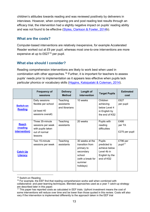children's attitudes towards reading and was reviewed positively by deliverers in interviews. However, when comparing pre and post reading test results through an efficacy trial, the intervention had a slightly negative impact on pupils' reading ability and was not found to be effective [\(Styles, Clarkson & Fowler, 2014b](https://educationendowmentfoundation.org.uk/public/files/Support/Campaigns/Evaluation_Reports/EEF_Project_Report_Chatterbooks.pdf)).

#### **What are the costs?**

Computer-based interventions are relatively inexpensive, for example Accelerated Reader worked out at £9 per pupil, whereas most one-to-one interventions are more expensive at up to £627[15](#page-12-0) per pupil.

#### **What else should I consider?**

Reading comprehension interventions are likely to work best when used in combination with other approaches. [16](#page-12-1) Further, it is important for teachers to assess pupils' needs prior to implementation as it appears less effective when pupils lack particular phonics or vocabulary skills [\(Higgins, Katsipataki & Coleman, 2014\)](https://educationendowmentfoundation.org.uk/public/files/Publications/EEF_Interim_Evidence_Brief_ReadingaAtTheTransition.pdf).

|                                           | <b>Frequency of</b><br>sessions                                                       | <b>Delivery</b><br><b>Method</b>         | Length of<br>intervention                                                                                           | <b>Target Pupils</b>                                                                   | <b>Estimated</b><br>cost         |
|-------------------------------------------|---------------------------------------------------------------------------------------|------------------------------------------|---------------------------------------------------------------------------------------------------------------------|----------------------------------------------------------------------------------------|----------------------------------|
| <b>Switch-on</b><br><b>Reading</b>        | Daily sessions<br>flexible per school<br>(at least 40<br>sessions overall)            | Teaching<br>assistants<br>and librarians | 10 weeks                                                                                                            | Children<br>achieving<br>below Level 4<br>in English by<br>the end of KS2              | £627<br>per pupil                |
| <b>Reach</b><br>(reading<br>intervention) | Three 35-minute<br>sessions per week<br>with pupils taken<br>out of normal<br>lessons | Teaching<br>assistants                   | 20 weeks                                                                                                            | Pupils with<br>reading<br>difficulties                                                 | £486<br>per TA<br>£275 per pupil |
| <b>Catch Up</b><br><b>Literacy</b>        | Two 15-minute<br>sessions per week                                                    | Teaching<br>assistants                   | 30 weeks at the<br>transition from<br>primary to<br>secondary<br>school<br>(with a break for<br>summer<br>holidays) | Pupils<br>predicted to<br>achieve below<br>Level 4b in<br>English by the<br>end of KS2 | £796 per<br>pupil <sup>17</sup>  |

<span id="page-12-0"></span> <sup>15</sup> Switch-on Reading

<span id="page-12-1"></span> $16$  For example, the EEF find that reading comprehension works well when combined with collaborative- and peer-learning techniques. Blended approaches used as a year 7 catch-up strategy are described later in this paper.

<span id="page-12-2"></span><sup>&</sup>lt;sup>17</sup> This paper has reported costs as calculated in EEF trials. Upfront investment means the cost of some interventions will reduce over time and be lower than those quoted in this review. Costs will also vary if the intervention is implemented differently to the approach taken in the EEF trial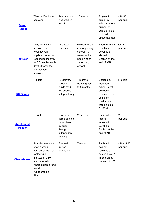|                     | Weekly 20-minute                | Peer mentors                  | 16 weeks                        | All year 7                      | £10.50     |
|---------------------|---------------------------------|-------------------------------|---------------------------------|---------------------------------|------------|
|                     | sessions                        | who were in                   |                                 | pupils, in                      | per pupil  |
| <b>Paired</b>       |                                 | year 9                        |                                 | schools where                   |            |
| <b>Reading</b>      |                                 |                               |                                 | number of                       |            |
|                     |                                 |                               |                                 | pupils eligible                 |            |
|                     |                                 |                               |                                 | for FSM is                      |            |
|                     |                                 |                               |                                 | above average                   |            |
|                     | Daily 20-minute                 | Volunteer                     | 5 weeks at the                  | Pupils unlikely                 | £112       |
|                     | sessions each                   | coaches                       | end of primary                  | to achieve                      | per pupil  |
|                     | weekday with                    |                               | school, 10                      | Level 4a or                     |            |
|                     | pupils expected to              |                               | weeks at the                    | above in                        |            |
| <b>TextNow</b>      | read independently              |                               | beginning of                    | English by the                  |            |
|                     | for 20 minutes each             |                               | secondary                       | end of KS2                      |            |
|                     | day further to the              |                               | school                          |                                 |            |
|                     | intervention                    |                               |                                 |                                 |            |
|                     | sessions.                       |                               |                                 |                                 |            |
|                     |                                 |                               |                                 |                                 |            |
|                     | Flexible                        | No delivery                   | 4 months                        | Decided by                      | Flexible   |
|                     |                                 | $needed -$                    | (ranging from 2<br>to 8 months) | individual<br>school, most      |            |
|                     |                                 | pupils read<br>the eBooks     |                                 | decided to                      |            |
| <b>RM Books</b>     |                                 | independently                 |                                 | focus on less                   |            |
|                     |                                 |                               |                                 | confident                       |            |
|                     |                                 |                               |                                 | readers and                     |            |
|                     |                                 |                               |                                 | those eligible                  |            |
|                     |                                 |                               |                                 | for FSM                         |            |
|                     |                                 |                               |                                 |                                 |            |
|                     | Flexible                        | <b>Teachers</b>               | 20 weeks                        | Pupils who                      | £9         |
|                     |                                 | agree goals to<br>be achieved |                                 | had not                         | per pupil  |
| <b>Accelerated</b>  |                                 | by pupil                      |                                 | achieved<br>Level 4 in          |            |
| <b>Reader</b>       |                                 | through                       |                                 | English at the                  |            |
|                     |                                 | independent                   |                                 | end of KS2                      |            |
|                     |                                 | reading                       |                                 |                                 |            |
|                     |                                 |                               |                                 |                                 |            |
|                     | Saturday mornings               | External                      | 7 months                        | Pupils who                      | £10 to £20 |
|                     | once a week                     | trained                       |                                 | had not                         | per pupil  |
|                     | (Chatterbooks). Or              | graduates                     |                                 | received a                      |            |
|                     | replacing 15<br>minutes of a 60 |                               |                                 | secure Level 4                  |            |
| <b>Chatterbooks</b> | minute session                  |                               |                                 | in English at<br>the end of KS2 |            |
|                     | where children read             |                               |                                 |                                 |            |
|                     | aloud                           |                               |                                 |                                 |            |
|                     | (Chatterbooks                   |                               |                                 |                                 |            |
|                     | Plus)                           |                               |                                 |                                 |            |
|                     |                                 |                               |                                 |                                 |            |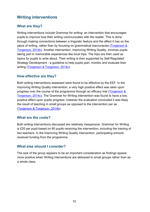## <span id="page-14-0"></span>**Writing interventions**

#### **What are they?**

Writing interventions include Grammar for writing: an intervention that encourages pupils to improve how their writing communicates with the reader. This is done through making connections between a linguistic feature and the affect it has on the piece of writing, rather than by focusing on grammatical inaccuracies [\(Torgerson &](https://educationendowmentfoundation.org.uk/public/files/Support/Campaigns/Evaluation_Reports/EEF_Project_Report_GrammarForWriting.pdf)  [Torgerson, 2014b\)](https://educationendowmentfoundation.org.uk/public/files/Support/Campaigns/Evaluation_Reports/EEF_Project_Report_GrammarForWriting.pdf). Another intervention, Improving Writing Quality, involves pupils taking part in memorable experiences like local trips. The trips are then used as topics for pupils to write about. Their writing is then supported by Self-Regulated Strategy Development - a guideline to help pupils plan, monitor and evaluate their writing [\(Torgerson & Torgerson, 2014c\)](https://educationendowmentfoundation.org.uk/public/files/Projects/Evaluation_Reports/EEF_Evaluation_Report_-_Improving_Writing_Quality.pdf).

#### **How effective are they?**

Both writing interventions assessed were found to be effective by the EEF. In the Improving Writing Quality intervention, a very high positive effect was seen upon progress over the course of the programme through an efficacy trial (Torgerson & [Torgerson, 2014c\)](https://educationendowmentfoundation.org.uk/public/files/Projects/Evaluation_Reports/EEF_Evaluation_Report_-_Improving_Writing_Quality.pdf). The Grammar for Writing intervention was found to have a low, positive effect upon pupils progress, however the evaluation concluded it was likely the result of teaching in small groups as opposed to the intervention per se [\(Torgerson & Torgerson, 2014b\)](https://educationendowmentfoundation.org.uk/public/files/Support/Campaigns/Evaluation_Reports/EEF_Project_Report_GrammarForWriting.pdf).

#### **What are the costs?**

Both writing interventions discussed are relatively inexpensive. Grammar for Writing is £20 per pupil based on 60 pupils receiving the intervention, including the training of two teachers. In the Improving Writing Quality intervention, participating schools received funding from the programme.

#### **What else should I consider?**

The size of the group appears to be an important consideration as findings appear more positive when Writing interventions are delivered to small groups rather than as a whole class.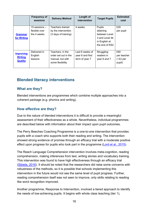|                  | <b>Frequency of</b><br>sessions | <b>Delivery Method</b> | Length of<br>intervention | <b>Target Pupils</b> | <b>Estimated</b><br>cost |
|------------------|---------------------------------|------------------------|---------------------------|----------------------|--------------------------|
|                  | 15 sessions -                   | Teachers trained       | 4 weeks                   | Pupils               | £20                      |
|                  | flexible over                   | by the intervention    |                           | attaining            | per pupil                |
| <b>Grammar</b>   | the 4 weeks                     | (3 days of training)   |                           | between Level        |                          |
| for Writing      |                                 |                        |                           | 3 and Level 4b       |                          |
|                  |                                 |                        |                           | in English at        |                          |
|                  |                                 |                        |                           | the end of KS2       |                          |
|                  |                                 |                        |                           |                      |                          |
| <b>Improving</b> | Delivered in                    | Teachers, in the       | Last 6 weeks of           | Struggling           | £60                      |
| <b>Writing</b>   | English                         | order set out in the   | year 6 and first          | readers in           | per teacher              |
|                  | lessons                         | manual, but with       | term of year 7            | year 6 and 7         | $~5$ 2 per               |
| <b>Quality</b>   |                                 | some flexibility       |                           |                      | pupil)                   |
|                  |                                 |                        |                           |                      |                          |

## <span id="page-15-0"></span>**Blended literacy interventions**

#### **What are they?**

Blended interventions are programmes which combine multiple approaches into a coherent package (e.g. phonics and writing).

#### **How effective are they?**

Due to the nature of blended interventions it is difficult to provide a meaningful assessment of their effectiveness as a whole. Nevertheless, individual programmes are described below with information about their impact upon pupil outcomes.

The Perry Beeches Coaching Programme is a one-to-one intervention that provides pupils with a coach who supports both their reading and writing. The intervention showed strong evidence of promise through an efficacy trial with a moderate positive effect upon progress for pupils who took part in the programme [\(Lord et al., 2015\)](https://v1.educationendowmentfoundation.org.uk/uploads/pdf/Perry_Beeches.pdf).

The Reach Language Comprehension intervention involves meta-cognition, reading comprehension, making inferences from text, writing stories and vocabulary training. This intervention was found to have high effectiveness through an efficacy trial [\(Sibieta, 2016\)](https://educationendowmentfoundation.org.uk/our-work/projects/reach/). It should be noted that the researchers did raise some concerns with robustness of the methods, so it is possible that schools implementing this intervention in the future would not see the same level of pupil progress. Further, reading comprehension itself was not seen to improve, only skills relating to reading like word recognition improved.

Another programme, Response to Intervention, involved a tiered approach to identify the needs of low-achieving pupils. It begins with whole class teaching (tier 1),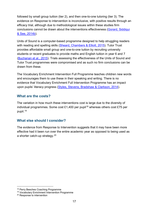followed by small group tuition (tier 2), and then one-to-one tutoring (tier 3). The evidence on Response to intervention is inconclusive, with positive results through an efficacy trial, although due to methodological issues within these studies firm conclusions cannot be drawn about the interventions effectiveness [\(Gorard, Siddiqui](https://educationendowmentfoundation.org.uk/public/files/Support/Campaigns/Evaluation_Reports/EEF_Project_Report_ResponseToIntervention.pdf)  [& See, 2014b\)](https://educationendowmentfoundation.org.uk/public/files/Support/Campaigns/Evaluation_Reports/EEF_Project_Report_ResponseToIntervention.pdf).

Units of Sound is a computer-based programme designed to help struggling readers with reading and spelling skills [\(Sheard, Chambers & Elliott, 2015\)](https://educationendowmentfoundation.org.uk/public/files/Publications/Campaigns/Evaluation_Reports/EEF_Project_Report_UnitsOfSound.pdf). Tutor Trust provides affordable small group and one-to-one tuition by recruiting university students or recent graduates to provide maths and English tuition in year 6 and 7 [\(Buchanan et al., 2015\)](https://educationendowmentfoundation.org.uk/public/files/Publications/Campaigns/Evaluation_Reports/EEF_Project_Report_AffordableIndividualAndSmallGroupTuition_Secondary.pdf). Trials assessing the effectiveness of the Units of Sound and Tutor Trust programmes were compromised and as such no firm conclusions can be drawn from these.

The Vocabulary Enrichment Intervention Full Programme teaches children new words and encourages them to use these in their speaking and writing. There is no evidence that Vocabulary Enrichment Full Intervention Programme has an impact upon pupils' literacy progress [\(Styles, Stevens, Bradshaw & Clarkson, 2014\)](https://educationendowmentfoundation.org.uk/public/files/Support/Campaigns/Evaluation_Reports/EEF_Project_Report_VocabularyEnrichment.pdf).

#### **What are the costs?**

The variation in how much these interventions cost is large due to the diversity of individual programmes. Some cost £1,400 per pupil<sup>[18](#page-16-0)</sup> whereas others cost £75 per pupil. [19](#page-16-1)

#### **What else should I consider?**

The evidence from Response to Intervention suggests that it may have been more effective had it been run over the entire academic year as opposed to being used as a shorter catch-up strategy.<sup>[20](#page-16-2)</sup>

<span id="page-16-0"></span> <sup>18</sup> Perry Beeches Coaching Programme

<span id="page-16-1"></span><sup>19</sup> Vocabulary Enrichment Intervention Programme

<span id="page-16-2"></span><sup>20</sup> Response to intervention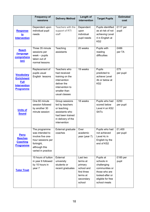|                                                                                                  | <b>Frequency of</b><br>sessions                                                                                                 | <b>Delivery Method</b>                                                                                                             | Length of<br>intervention                                                                       | <b>Target Pupils</b>                                                                                                              | <b>Estimated</b><br>cost |
|--------------------------------------------------------------------------------------------------|---------------------------------------------------------------------------------------------------------------------------------|------------------------------------------------------------------------------------------------------------------------------------|-------------------------------------------------------------------------------------------------|-----------------------------------------------------------------------------------------------------------------------------------|--------------------------|
| <b>Response</b><br><u>to</u><br><b>Intervention</b>                                              | Dependent upon<br>individual pupil<br>needs                                                                                     | Teachers with the<br>support of RTI<br>staff                                                                                       | Dependent<br>upon<br>individual<br>pupil needs                                                  | Pupils identified<br>as at risk of not<br>achieving Level<br>4 in English at<br>KS <sub>2</sub>                                   | £117 per<br>pupil        |
| <b>Reach</b><br>(language<br>comprehens<br><u>ion)</u>                                           | Three 35 minute<br>sessions per<br>$week - pupils$<br>taken out of<br>normal lessons                                            | Teaching<br>assistants                                                                                                             | 20 weeks                                                                                        | Pupils with<br>reading<br>difficulties                                                                                            | £486<br>per TA           |
| <b>Vocabulary</b><br><b>Enrichment</b><br><b>Full</b><br><b>Intervention</b><br><b>Programme</b> | Replacement of<br>pupils usual<br>English lessons                                                                               | Teachers who<br>had received<br>training on the<br>intervention<br>deliver the<br>intervention to<br>smaller than<br>usual classes | 19 weeks                                                                                        | Pupils<br>predicted to<br>achieve Level<br>4b or below at<br>KS <sub>2</sub>                                                      | £75<br>per pupil         |
| <b>Units of</b><br><b>Sound</b>                                                                  | One 60 minute<br>session followed<br>by another 30<br>minute session                                                            | Group sessions<br>led by teachers<br>or teaching<br>assistants who<br>had been trained<br>in delivery of the<br>intervention       | 18 weeks                                                                                        | Pupils who had<br>scored below<br>Level 4 on KS2<br><b>SATs</b>                                                                   | £250<br>per pupil        |
| <b>Perry</b><br><b>Beeches</b><br><b>Coaching</b><br><b>Programme</b>                            | The programme<br>was intended to<br>involve five one-<br>hour sessions per<br>fortnight,<br>although this<br>varied in practice | External graduate<br>coaches                                                                                                       | Over<br>academic<br>year (year 7)                                                               | Pupils who had<br>not achieved<br>Level 4c in<br>English by the<br>end of KS2                                                     | £1,400<br>per pupil      |
| <b>Tutor Trust</b>                                                                               | 15 hours of tuition<br>in year 6 followed<br>by 10 hours in<br>year 7                                                           | External<br>university<br>students or<br>recent graduates                                                                          | Last two<br>terms at<br>primary<br>school and<br>first three<br>terms at<br>secondary<br>school | Pupils at<br>schools in<br>challenging<br>communities or<br>those who are<br>looked-after or<br>eligible for free<br>school meals | £185 per<br>pupil        |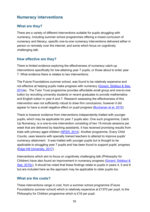## <span id="page-18-0"></span>**Numeracy interventions**

#### **What are they?**

There are a variety of different interventions suitable for pupils struggling with numeracy, including summer school programmes offering a mixed curriculum of numeracy and literacy, specific one-to-one numeracy interventions delivered either in person or remotely over the internet, and some which focus on cognitively challenging talk.

#### **How effective are they?**

There is limited evidence exploring the effectiveness of numeracy catch-up interventions specifically for low-attaining year 7 pupils, or those about to enter year 7. What evidence there is relates to two interventions:

The Future Foundations summer school, was found to be relatively expensive and not effective at helping pupils make progress with numeracy [\(Gorard, Siddiqui & See,](https://educationendowmentfoundation.org.uk/public/files/Support/Campaigns/Evaluation_Reports/EEF_Project_Report_FutureFoundationsSummerSchool.pdf)  [2014a](https://educationendowmentfoundation.org.uk/public/files/Support/Campaigns/Evaluation_Reports/EEF_Project_Report_FutureFoundationsSummerSchool.pdf)). The Tutor Trust programme provides affordable small group and one-to-one tuition by recruiting university students or recent graduates to provide mathematics and English tuition in year 6 and 7. Research assessing the effectiveness of this intervention was not sufficiently robust to draw firm conclusions, however it did appear to have a small negative effect on pupil progress [\(Buchanan et al, 2015\)](https://educationendowmentfoundation.org.uk/public/files/Projects/Evaluation_Reports/Affordable_Individual_and_Small_Group_Tuition_Primary.pdf).

There is however evidence from interventions independently trialled with younger pupils, which may be applicable for year 7 pupils also. One such programme, Catch Up Numeracy, is a one-to-one intervention consisting of two 15-minute sessions per week that are delivered by teaching assistants. It has received promising results from trials with primary aged children [\(NFER, 2014\)](https://educationendowmentfoundation.org.uk/public/files/Support/Campaigns/Evaluation_Reports/EEF_Project_Report_CatchUpNumeracy.pdf). Another programme, Every Child Counts, uses lessons with specially trained teachers to attempt to improve pupils' numeracy attainment. It was trialled with younger pupils but is thought to be applicable to struggling year 7 pupils and has been found to support pupils' progress [\(Edge Hill University, 2017\)](https://everychildcounts.edgehill.ac.uk/mathematics/).

Interventions which aim to focus on cognitively challenging talk (Philosophy for Children) have also found an improvement in numeracy progress (Gorard, Siddiqui & [See, 2015c\)](https://educationendowmentfoundation.org.uk/public/files/Support/Campaigns/Evaluation_Reports/EEF_Project_Report_PhilosophyForChildren.pdf). It should be noted that these findings relate to pupils in years 4, 5 and 6 but are included here as the approach may be applicable to older pupils too.

#### **What are the costs?**

These interventions range in cost, from a summer school programme (Future Foundations summer school) which is relatively expensive at £1370 per pupil, to the Philosophy for Children programme which is £16 per pupil.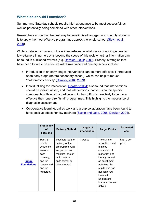#### **What else should I consider?**

Summer and Saturday schools require high attendance to be most successful, as well as potentially being combined with other interventions.

Researchers argue that the best way to benefit disadvantaged and minority students is to apply the most effective programmes across the whole school (Slavin et al., [2008\)](http://web.b.ebscohost.com/ehost/detail/detail?vid=0&sid=c0d64432-f583-4187-b920-3340be903bb2%40sessionmgr103&bdata=JnNpdGU9ZWhvc3QtbGl2ZQ%3d%3d).

While a detailed summary of the evidence-base on what works or not in general for low-attainers in numeracy is beyond the scope of this review, further information can be found in published reviews (e.g. [Dowker., 2004;](http://webarchive.nationalarchives.gov.uk/20130402114537/https:/www.education.gov.uk/publications/eOrderingDownload/RR554.pdf) [2009\)](http://webarchive.nationalarchives.gov.uk/20110202102730/http:/nationalstrategies.standards.dcsf.gov.uk/node/174504). Broadly, strategies that have been found to be effective with low-attainers at primary school include:

- Introduction at an early stage: interventions can be more effective if introduced at an early stage (before secondary school), which can help to reduce 'mathematics anxiety' [\(Dowker, 2004,](http://webarchive.nationalarchives.gov.uk/20130402114537/https:/www.education.gov.uk/publications/eOrderingDownload/RR554.pdf) [2009\)](http://webarchive.nationalarchives.gov.uk/20110202102730/http:/nationalstrategies.standards.dcsf.gov.uk/node/174504).
- Individualising the intervention: [Dowker \(2004\)](http://webarchive.nationalarchives.gov.uk/20130402114537/https:/www.education.gov.uk/publications/eOrderingDownload/RR554.pdf) also found that interventions should be individualised, and that interventions that focus on the specific components with which a particular child has difficulty, are likely to be more effective than 'one size fits all' programmes. This highlights the importance of diagnostic assessment.
- Co-operative learning: paired work and group collaboration have been found to have positive effects for low-attainers [\(Slavin and Lake, 2008;](http://journals.sagepub.com/doi/abs/10.3102/0034654308317473) [Dowker, 2004\)](http://webarchive.nationalarchives.gov.uk/20130402114537/https:/www.education.gov.uk/publications/eOrderingDownload/RR554.pdf).

|                                     | <b>Frequency</b><br>οf<br>sessions                                                                             | <b>Delivery Method</b>                                                                                                                         | Length of<br>intervention | <b>Target Pupils</b>                                                                                                                                                                                                           | <b>Estimated</b><br>cost |
|-------------------------------------|----------------------------------------------------------------------------------------------------------------|------------------------------------------------------------------------------------------------------------------------------------------------|---------------------------|--------------------------------------------------------------------------------------------------------------------------------------------------------------------------------------------------------------------------------|--------------------------|
| <b>Future</b><br><b>Foundations</b> | Two 75-<br>minute<br>academic<br>lessons<br>each<br>morning,<br>one for<br>literacy and<br>one for<br>numeracy | Teachers led the<br>delivery of the<br>programme with<br>support of two<br>mentors (one of<br>which was a<br>sixth-former or<br>other student) | 4 weeks                   | The summer<br>school involved<br>a mixed<br>curriculum of<br>numeracy and<br>literacy, as well<br>as enrichment<br>activities. So<br>pupils who had<br>not achieved<br>Level 4 in<br>English and<br>Maths at the end<br>of KS2 | £1370 per<br>pupil       |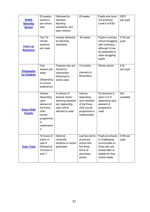| <b>SHINE</b><br><b>Saturday</b><br><b>School</b> | 25 weekly-<br>sessions<br>per school<br>year                                                                     | Delivered by<br>teachers,<br>teaching<br>assistants, and<br>peer mentors                                | 25 weeks                                                                                            | Pupils who have<br>not achieved<br>Level 4 at KS2                                                                              | £870<br>per pupil       |
|--------------------------------------------------|------------------------------------------------------------------------------------------------------------------|---------------------------------------------------------------------------------------------------------|-----------------------------------------------------------------------------------------------------|--------------------------------------------------------------------------------------------------------------------------------|-------------------------|
| <b>Catch up</b><br><b>Numeracy</b>               | <b>Two 15-</b><br>minute<br>sessions<br>per week                                                                 | Usually delivered<br>by teaching<br>assistants                                                          | 30 weeks                                                                                            | Pupils in primary<br>school struggling<br>with numeracy,<br>although it may<br>be applicable to<br>older struggling<br>pupils  | £130 per<br>pupil       |
| Philosophy<br>for Children                       | One<br>session per<br>week<br>(Depending<br>on school<br>preference)                                             | Teaches who are<br>trained by<br>intervention<br>Delivered to<br>whole class                            | 12 months<br>(January to<br>December)                                                               | Whole school                                                                                                                   | E16<br>per pupil        |
| <b>Every Child</b><br><b>Counts</b>              | Various<br>depending<br>upon<br>element of<br>the Every<br>child<br>counts<br>programme<br>is<br>implemente<br>d | A mixture of<br>teacher and/or<br>teaching assistant<br>led, depending<br>upon which<br>element is used | Various<br>depending<br>upon element<br>of the Every<br>child counts<br>programme is<br>implemented | For learners in<br>years 4 to 9<br>depending upon<br>element of<br>programme<br>used                                           | <b>Not</b><br>available |
| <b>Tutor Trust</b>                               | 15 hours of<br>tuition in<br>year 6<br>followed by<br>10 hours in<br>year 7                                      | External<br>university<br>students or recent<br>graduates                                               | Last two terms<br>at primary<br>school and<br>first three<br>terms at<br>secondary<br>school        | Pupils at schools<br>in challenging<br>communities or<br>those who are<br>looked-after or<br>eligible for free<br>school meals | £185 per<br>pupil       |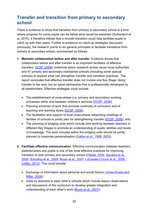# <span id="page-21-0"></span>**Transfer and transition from primary to secondary school**

There is evidence to show that transition from primary to secondary school is a time where progress for some pupils can be below what would be expected (Sutherland et al, 2010). It therefore follows that a smooth transition could help facilitate pupils to catch up with their peers. Further to evidence on catch-up strategies discussed previously, the research points to six general principles to facilitate transitions from primary to secondary school, summarised as follows:

- **1. Maintain collaboration before and after transfer**. Evidence shows that collaboration before and after transfer is an important facilitator of effective transfers. [DCSF \(2008\)](http://dera.ioe.ac.uk/7464/) undertook action research across seven local authorities and 47 primary and secondary maintained schools (including some special schools) to explore what can strengthen transfer and transition practices. The report concludes that effective transfer does not involve one Key Stage 'doing' transfer to the next, but an equal partnership that is professionally developed by all stakeholders. Effective strategies could include:
	- The establishment of cross-phase (i.e. primary and secondary) working processes within and between children's services [\(DCSF, 2008\)](http://dera.ioe.ac.uk/7464/);
	- Planning schemes of work that promote continuity of curriculum and of teaching and learning styles [\(DCSF, 2008\)](http://dera.ioe.ac.uk/7464/);
	- The facilitation and support of local cross-phase networking meetings of families of schools to jointly plan for strengthening transfer [\(DCSF, 2008\)](http://dera.ioe.ac.uk/7464/); and,
	- The planning of bridging units which include joint working between teachers in different Key Stages to promote an understanding of pupils' abilities and levels of knowledge. The work included within the bridging units should be jointly planned to maximise personalisation [\(Galton et al., 1999,](http://webarchive.nationalarchives.gov.uk/20130404090100/https:/www.education.gov.uk/publications/eOrderingDownload/RR131.pdf) [2003\)](http://www.lotc.org.uk/wp-content/uploads/2010/12/DfES-Research-Report-RR443-2003.pdf).
- **2. Facilitate effective communication**. Effective communication between teachers, parents/carers and pupils is one of the most effective practices for improving transition to both primary and secondary school [\(Ofsted, 2004;](http://dera.ioe.ac.uk/4822/1/Transition%20from%20the%20Reception%20Year%20to%20Year%201_an%20evaluation%20by%20HMI%20(PDF%20format).pdf) Sanders et al., [2005;](https://www.nfer.ac.uk/publications/FKT01/) [Schulting et al., 2005;](http://mnprek-3.wdfiles.com/local--files/research-studies/Effect%20of%20School-Based%20Kindergarten%20Transition.pdf) [Bryan et al., 2007;](http://www.research.ed.ac.uk/portal/en/publications/evaluation-of-pilots-to-improve-primary-to-secondary-school-transitions(3b809f29-6925-4244-8007-deb000e2c53d)/export.html) [LoCasale-Crouch et al.,](http://www.sciencedirect.com/science/article/pii/S0885200607000403) 2008., [Coffey, 2013\)](http://journals.sagepub.com/doi/abs/10.1177/1365480213505181). This could include:
	- Exchange of information about personal and social factors (Jindal-Snape and [Miller, 2008\)](https://link.springer.com/article/10.1007%2Fs10648-008-9074-7);
	- Visits by teachers to each other's schools which include lesson observations and discussions of the curriculum to develop greater integration and understanding of each other's work [\(Bryan et al., 2007\)](http://www.research.ed.ac.uk/portal/en/publications/evaluation-of-pilots-to-improve-primary-to-secondary-school-transitions(3b809f29-6925-4244-8007-deb000e2c53d)/export.html);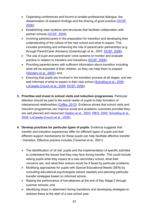- Organising conferences and forums to enable professional dialogue, the dissemination of research findings and the sharing of good practice [\(DCSF,](http://dera.ioe.ac.uk/7464/)  [2008\)](http://dera.ioe.ac.uk/7464/);
- Establishing clear systems and structures that facilitate collaboration with partner schools [\(DCSF, 2008\)](http://dera.ioe.ac.uk/7464/);
- Involving parents/carers in the preparation for transition and developing their understanding of the culture of the new school and what to expect. This includes promoting and enhancing the role of parent/carer partnerships (e.g. through Parent/Carer Advisers) (Greenhough et al., 2007; [DCSF, 2008\)](http://dera.ioe.ac.uk/7464/);
- The use of pupil and parent/carer voice systems to monitor and evaluate practice in relation to transfers and transitions [\(DCSF, 2008\)](http://dera.ioe.ac.uk/7464/);
- Providing parents/carers with sufficient information about transition including what will be expected of their children, so they can help them to prepare [\(Sanders et al., 2005\)](https://www.nfer.ac.uk/publications/FKT01/); and,
- Ensuring that pupils are involved in the transition process at all stages, and are well informed of what to expect in their new school [\(Schulting et al., 2005;](http://mnprek-3.wdfiles.com/local--files/research-studies/Effect%20of%20School-Based%20Kindergarten%20Transition.pdf) [LoCasale-Crouch et al., 2008;](http://www.sciencedirect.com/science/article/pii/S0885200607000403) [DCSF, 2008\)](http://dera.ioe.ac.uk/7464/).
- **3. Prioritise and invest in school visits and induction programmes**. Particular attention should be paid to the social needs of pupils to help formation of interpersonal relationships [\(Coffey, 2013\)](http://journals.sagepub.com/doi/abs/10.1177/1365480213505181). Evidence shows that school visits and induction programmes can improve social and academic outcomes provided they are well planned and resourced [\(Galton et al., 2003;](http://www.lotc.org.uk/wp-content/uploads/2010/12/DfES-Research-Report-RR443-2003.pdf) [DfES, 2005;](http://trevorfolley.com/wp-content/uploads/2011/09/KS2-to-KS3-Transition-Report-Mouchel-.pdf) [Schulting et al.,](http://mnprek-3.wdfiles.com/local--files/research-studies/Effect%20of%20School-Based%20Kindergarten%20Transition.pdf)  [2005;](http://mnprek-3.wdfiles.com/local--files/research-studies/Effect%20of%20School-Based%20Kindergarten%20Transition.pdf) [LoCasale-Crouch et al., 2008\)](http://www.sciencedirect.com/science/article/pii/S0885200607000403).
- **4. Develop practices for particular types of pupils**. Evidence suggests that transfer and transition experiences differ for different types of pupils and that different support mechanisms for these pupils can help facilitate effective transfer / transition. Effective practice includes (Taverner et al., 2001):
	- The identification of 'at risk' pupils and the implementation of specific activities to understand the issues that they may face during transfer. This could include asking pupils what they expect at a new secondary school, what their concerns are, and what their actions would be if faced by particular problems;
	- Modifying approaches for pupils with Special Educational Needs (SEN) by consulting educational psychologists (where needed) and planning particular transfer strategies based on informed advice;
	- Raising the performance of low-attainers at the end of Key Stage 2 through summer schools; and,
	- Identifying drops in attainment during transitions and developing strategies to address these at the start of a new school year.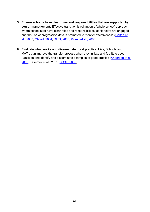- **5. Ensure schools have clear roles and responsibilities that are supported by senior management.** Effective transition is reliant on a 'whole school' approach where school staff have clear roles and responsibilities, senior staff are engaged and the use of progression data is promoted to monitor effectiveness [\(Galton et](http://www.lotc.org.uk/wp-content/uploads/2010/12/DfES-Research-Report-RR443-2003.pdf)  [al., 2003;](http://www.lotc.org.uk/wp-content/uploads/2010/12/DfES-Research-Report-RR443-2003.pdf) [Ofsted, 2004;](http://dera.ioe.ac.uk/4822/1/Transition%20from%20the%20Reception%20Year%20to%20Year%201_an%20evaluation%20by%20HMI%20(PDF%20format).pdf) [DfES, 2005;](http://trevorfolley.com/wp-content/uploads/2011/09/KS2-to-KS3-Transition-Report-Mouchel-.pdf) [Kirkup et al., 2005\)](https://www.nfer.ac.uk/publications/SUD01/SUD01_home.cfm).
- **6. Evaluate what works and disseminate good practice**. LA's, Schools and MAT's can improve the transfer process when they initiate and facilitate good transition and identify and disseminate examples of good practice [\(Anderson et al,](http://www.sciencedirect.com/science/article/pii/S0883035500000203)  [2000;](http://www.sciencedirect.com/science/article/pii/S0883035500000203) Taverner et al., 2001; [DCSF, 2008\)](http://dera.ioe.ac.uk/7464/).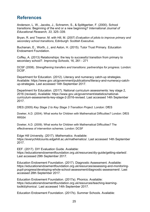## <span id="page-24-0"></span>**References**

Anderson, L. W., Jacobs, J., Schramm, S., & Splittgerber, F. (2000). School transitions: Beginning of the end or a new beginning? *International Journal of Educational Research, 33*, 325–339.

Bryan, R. and Treanor, M. with Hill, M. (2007) *Evaluation of pilots to improve primary and secondary school transitions*, Edinburgh: Scottish Executive.

Buchanan, E., Worth, J., and Aston, H. (2015). Tutor Trust Primary. Education Endowment Foundation.

Coffey, A. (2013) Relationships: the key to successful transition from primary to secondary school?. *Improving Schools*, 16, 261 - 271

DCSF (2008). *Strengthening transfers and transitions: partnerships for progress.* London: DCSF.

Department for Education. (2012). Literacy and numeracy catch-up strategies. Available: https://www.gov.uk/government/publications/literacy-and-numeracy-catchup-strategies. Last accessed 14th September 2017.

Department for Education. (2017). National curriculum assessments: key stage 2, 2016 (revised). Available: https://www.gov.uk/government/statistics/nationalcurriculum-assessments-key-stage-2-2016-revised. Last accessed 14th September 2017.

DfES (2005) *Key Stage 2 to Key Stage 3 Transition Project*. London: DfES

Dowker, A.D. (2004). What works for Children with Mathematical Difficulties? London: DfES RR554

Dowker, A.D. (2009). What works for Children with Mathematical Difficulties? The effectiveness of intervention schemes. London: DCSF

Edge Hill University. (2017). *Mathematics.* Available: https://everychildcounts.edgehill.ac.uk/mathematics/. Last accessed 14th September 2017.

EEF. (2017). DIY Evaluation Guide. Available: https://educationendowmentfoundation.org.uk/resources/diy-guide/getting-started/. Last accessed 29th September 2017.

Education Endowment Foundation. (2017). Diagnostic Assessment. Available: https://educationendowmentfoundation.org.uk/resources/assessing-and-monitoringpupil-progress/developing-whole-school-assessment/diagnostic-assessment/. Last accessed 28th September 2017.

Education Endowment Foundation. (2017a). Phonics. Available: https://educationendowmentfoundation.org.uk/resources/teaching-learningtoolkit/phonics/. Last accessed 14th September 2017.

Education Endowment Foundation. (2017b). Summer Schools. Available: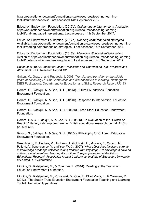https://educationendowmentfoundation.org.uk/resources/teaching-learningtoolkit/summer-schools/. Last accessed 14th September 2017.

Education Endowment Foundation. (2017c). *Oral language interventions.* Available: https://educationendowmentfoundation.org.uk/resources/teaching-learningtoolkit/oral-language-interventions/. Last accessed 14th September 2017.

Education Endowment Foundation. (2017d). *Reading comprehension strategies.* Available: https://educationendowmentfoundation.org.uk/resources/teaching-learningtoolkit/reading-comprehension-strategies/. Last accessed 14th September 2017.

Education Endowment Foundation. (2017e). *Meta-cognition and self-regulation.* Available: https://educationendowmentfoundation.org.uk/resources/teaching-learningtoolkit/meta-cognition-and-self-regulation/. Last accessed 14th September 2017.

Galton *et al* (1999). *Impact of School Transitions and Transfers on Pupil Progress and Attainment.* DfES Research Report 131.

Galton, M., Gray, J. and Ruddock, J. 2003. *Transfer and transition in the middle years of schooling (7–14): Continuities and discontinuities in learning*, Nottingham: DfES Publications. Department for Education and Skills, Research Report RR443

Gorard, S., Siddiqui, N. & See, B.H. (2014a). Future Foundations. Education Endowment Foundation.

Gorard, S., Siddiqui, N. & See, B.H. (2014b). Response to Intervention. Education Endowment Foundation.

Gorard, S., Siddiqui, N. & See, B. H. (2015a). Fresh Start. Education Endowment Foundation.

Gorard, S.A.C., Siddiqui, N. & See, B.H. (2015b). An evaluation of the `Switch-on Reading' literacy catch-up programme. British educational research journal. 41 (4). pp. 596-612.

Gorard, S., Siddiqui, N. & See, B. H. (2015c). Philosophy for Children. Education Endowment Foundation.

Greenhough, P., Hughes, M., Andrews, J., Goldstein, H., McNess, E., Osborn, M., Pollard, A., Stinchcombe, V. and Yee, W.-C. (2007) *'What effect does involving parents in knowledge exchange activities during transfer from key stage 2 to key stage 3 have on children's attainment and learning dispositions?', paper presented at the British Educational Research Association Annual Conference, Institute of Education, University of London, 5–8 September.*

Higgins, S., Katsipataki, M., & Coleman, R. (2014). Reading at the Transition. Education Endowment Foundation.

Higgins, S., Katsipataki, M., Kokotsaki, D., Coe, R., Elliot Major, L., & Coleman, R. (2013). The Sutton Trust-Education Endowment Foundation Teaching and Learning Toolkit: Technical Appendices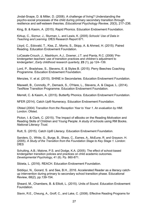Jindal-Snape, D. & Miller, D. (2008). A challenge of living? Understanding the psycho-social processes of the child during primary secondary transition through resilience and self-esteem theories. *Educational Psychology Review, 20*(3), 217–236.

King, B. & Kasim, A. (2015). Rapid Phonics. Education Endowment Foundation.

Kirkup, C., Sizmur, J., Sturman, L. and Lewis, K. (2005) *Schools' Use of Data in Teaching and Learning.* DfES Research Report 671.

Lloyd, C., Edovald, T., Kiss, Z., Morris, S., Skipp, A. & Ahmed, H. (2015). Paired Reading. Education Endowment Foundation.

LoCasale-Crouch, J., Mashburn, A.J., Downer, J.T. and Pianta, R.C. (2008) 'Prekindergarten teachers' use of transition practices and children's adjustment to kindergarten', *Early childhood research quarterly*, **23** (1), pp 124–139.

Lord, P., Bradshaw, S., Stevens, E. & Styles B. (2015). Perry Beeches Coaching Programme. Education Endowment Foundation.

Menzies, V. et al. (2015). SHINE in Secondaries. Education Endowment Foundation.

Maxwell, B., Connolly, P., Demack, S., O'Hare, L., Stevens, A. & Clague, L. (2014). TextNow Transition Programme. Education Endowment Foundation.

Merrell, C. & Kasim, A. (2015). Butterfly Phonics. Education Endowment Foundation.

NFER (2014). Catch Up® Numeracy. Education Endowment Foundation.

Ofsted (2004) *Transition from the Reception Year to Year 1. An evaluation by HMI.*  London: Ofsted.

Picton, I. & Clark, C. (2015). The Impact of eBooks on the Reading Motivation and Reading Skills of Children and Young People: A study of schools using RM Books. *National Literacy Trust*.

Rutt, S. (2015). Catch Up® Literacy. Education Endowment Foundation.

Sanders, D., White, G., Burge, B., Sharp, C., Eames, A., McEune, R. and Grayson, H. (2005). *A Study of the Transition from the Foundation Stage to Key Stage 1.* London: **DfES** 

Schulting, A.B.; Malone, P.S. and Dodge, K.A. (2005). The effect of school-based kindergarten transition policies and practices on child academic outcomes. *Developmental Psychology*, 41 (6). Pp. 860-871.

Sibieta, L. (2016). REACH. Education Endowment Foundation.

Siddiqui, N., Gorard, S. and See, B.H., 2016. Accelerated Reader as a literacy catchup intervention during primary to secondary school transition phase. Educational Review, 68(2), pp.139-154.

Sheard, M., Chambers, B. & Elliott, L. (2015). Units of Sound. Education Endowment Foundation.

Slavin, R.E., Cheung, A., Groff, C., and Lake, C. (2008). Effective Reading Programs for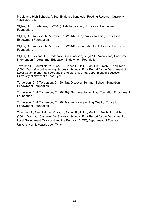Middle and High Schools: A Best-Evidence Synthesis. Reading Research Quarterly, 43(3), 290–322.

Styles, B. & Bradshaw, S. (2015). Talk for Literacy. Education Endowment Foundation.

Styles, B., Clarkson, R. & Fowler, K. (2014a). Rhythm for Reading. Education Endowment Foundation.

Styles, B., Clarkson, R. & Fowler, K. (2014b). Chatterbooks. Education Endowment Foundation.

Styles, B., Stevens, E., Bradshaw, S. & Clarkson, R. (2014). Vocabulary Enrichment Intervention Programme. Education Endowment Foundation.

Taverner, S., Baumfield, V., Clark, J., Fisher, P.,Hall, I., Mei Lin., Smith, P. and Todd, L. (2001) *Transition between Key Stages in Schools*, Final Report for the Department of Local Government, Transport and the Regions (DLTR), Department of Education, University of Newcastle upon Tyne.

Torgerson, D. & Torgerson, C. (2014a). Discover Summer School. Education Endowment Foundation.

Torgerson, D. & Torgerson, C. (2014b). Grammar for Writing. Education Endowment Foundation.

Torgerson, D. & Torgerson, C. (2014c). Improving Writing Quality. Education Endowment Foundation.

Taverner, S., Baumfield, V., Clark, J., Fisher, P.,Hall, I., Mei Lin., Smith, P. and Todd, L. (2001) *Transition between Key Stages in Schools*, Final Report for the Department of Local Government, Transport and the Regions (DLTR), Department of Education, University of Newcastle upon Tyne.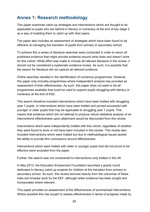# <span id="page-28-0"></span>**Annex 1: Research methodology**

This paper examines catch-up strategies and interventions which are thought to be applicable to pupils who are behind in literacy or numeracy at the end of key stage 2 as a way of enabling them to catch up with their peers.

The paper also includes an assessment of strategies which have been found to be effective at managing the transition of pupils from primary to secondary school.

To achieve this a series of literature searches were conducted in order to return all published evidence that might provide evidence around what does and doesn't work for this cohort. While effort was made to include all relevant literature in the review, it should not be considered a systematic evidence review. As such, it is possible that the search for literature did not capture all relevant evidence.

Online searches resulted in the identification of numerous programmes. However, this paper only includes programmes where independent analysis has provided an assessment of their effectiveness. As such, this paper does not seek to list all programmes available that could be used to support pupils struggling with literacy or numeracy at the end of KS2.

This search therefore included interventions which have been trialled with struggling year 7 pupils, or interventions which have been trialled and proved successful with younger or older pupils that may be applicable to struggling year 7 pupils. This means that evidence which did not attempt to produce robust statistical analysis of an interventions effectiveness upon attainment would be discounted from this review.

Interventions which were independently trialled with this cohort, regardless of whether they were found to work or not have been included in this review. This review also included interventions which were trialled but due to methodological issues lacked the ability to provide firm conclusions around effectiveness.

Interventions which were trialled with older or younger pupils that did not prove to be effective were excluded from the paper.

Further, the search was not constrained to interventions only trialled in the UK.

In May 2012, the Education Endowment Foundation launched a grants round dedicated to literacy catch-up projects for children at the transition from primary to secondary school. As such, this review borrows heavily from the outcomes of these trials and broader work by the EEF, although wider evidence has been sought and incorporated where relevant.

This paper provides an assessment of the effectiveness of summarised interventions. Where possible this has sought to assess effectiveness in terms of progress made by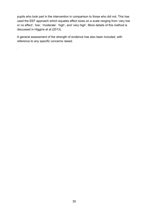pupils who took part in the intervention in comparison to those who did not. This has used the EEF approach which equates effect sizes on a scale ranging from 'very low or no effect', 'low', 'moderate'. 'high', and 'very high'. More details of this method is discussed in Higgins et al (2013).

A general assessment of the strength of evidence has also been included, with reference to any specific concerns raised.

.